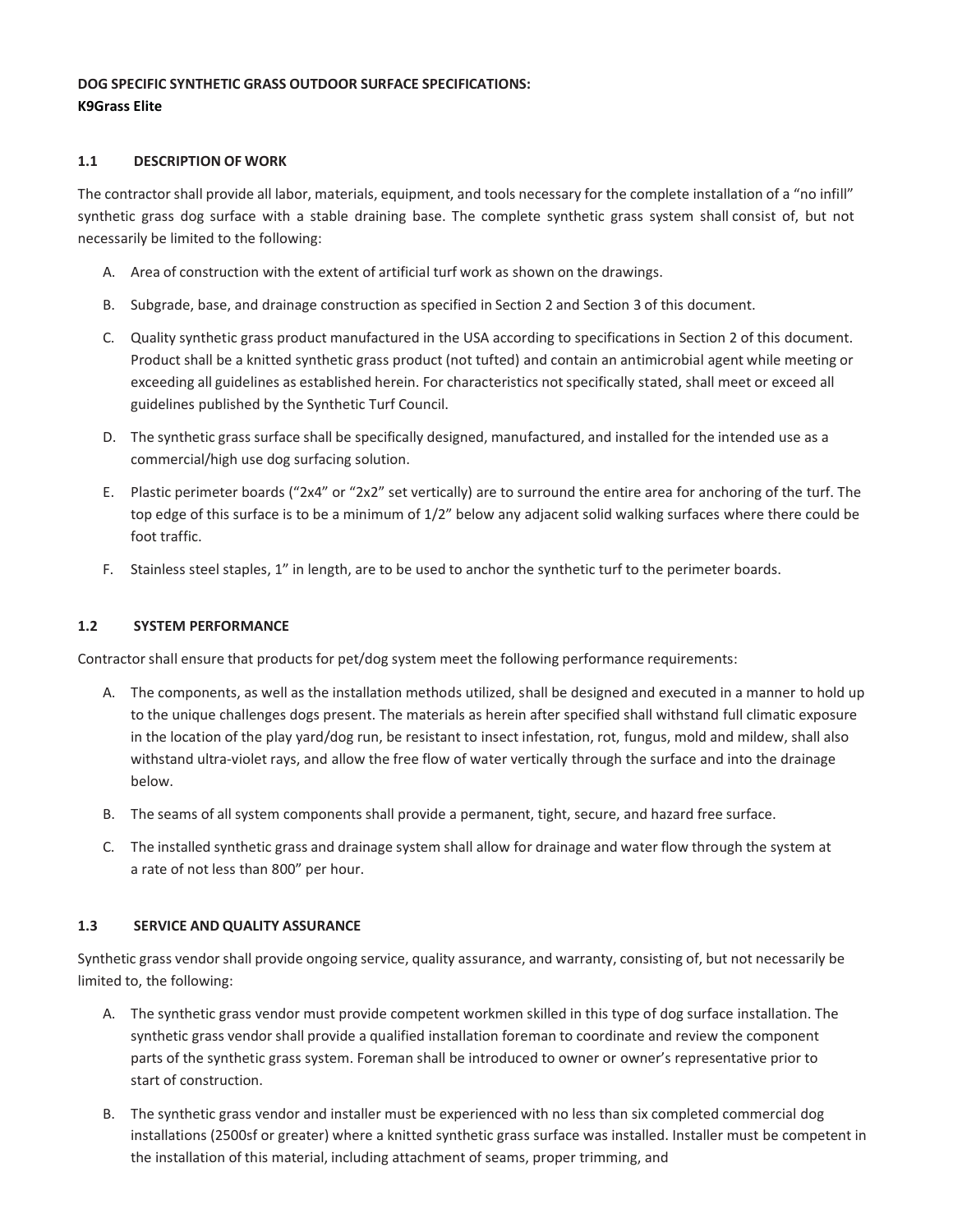# **DOG SPECIFIC SYNTHETIC GRASS OUTDOOR SURFACE SPECIFICATIONS: K9Grass Elite**

## **1.1 DESCRIPTION OF WORK**

The contractor shall provide all labor, materials, equipment, and tools necessary for the complete installation of a "no infill" synthetic grass dog surface with a stable draining base. The complete synthetic grass system shall consist of, but not necessarily be limited to the following:

- A. Area of construction with the extent of artificial turf work as shown on the drawings.
- B. Subgrade, base, and drainage construction as specified in Section 2 and Section 3 of this document.
- C. Quality synthetic grass product manufactured in the USA according to specifications in Section 2 of this document. Product shall be a knitted synthetic grass product (not tufted) and contain an antimicrobial agent while meeting or exceeding all guidelines as established herein. For characteristics not specifically stated, shall meet or exceed all guidelines published by the Synthetic Turf Council.
- D. The synthetic grass surface shall be specifically designed, manufactured, and installed for the intended use as a commercial/high use dog surfacing solution.
- E. Plastic perimeter boards ("2x4" or "2x2" set vertically) are to surround the entire area for anchoring of the turf. The top edge of this surface is to be a minimum of 1/2" below any adjacent solid walking surfaces where there could be foot traffic.
- F. Stainless steel staples, 1" in length, are to be used to anchor the synthetic turf to the perimeter boards.

## **1.2 SYSTEM PERFORMANCE**

Contractor shall ensure that products for pet/dog system meet the following performance requirements:

- A. The components, as well as the installation methods utilized, shall be designed and executed in a manner to hold up to the unique challenges dogs present. The materials as herein after specified shall withstand full climatic exposure in the location of the play yard/dog run, be resistant to insect infestation, rot, fungus, mold and mildew, shall also withstand ultra-violet rays, and allow the free flow of water vertically through the surface and into the drainage below.
- B. The seams of all system components shall provide a permanent, tight, secure, and hazard free surface.
- C. The installed synthetic grass and drainage system shall allow for drainage and water flow through the system at a rate of not less than 800" per hour.

## **1.3 SERVICE AND QUALITY ASSURANCE**

Synthetic grass vendor shall provide ongoing service, quality assurance, and warranty, consisting of, but not necessarily be limited to, the following:

- A. The synthetic grass vendor must provide competent workmen skilled in this type of dog surface installation. The synthetic grass vendor shall provide a qualified installation foreman to coordinate and review the component parts of the synthetic grass system. Foreman shall be introduced to owner or owner's representative prior to start of construction.
- B. The synthetic grass vendor and installer must be experienced with no less than six completed commercial dog installations (2500sf or greater) where a knitted synthetic grass surface was installed. Installer must be competent in the installation of this material, including attachment of seams, proper trimming, and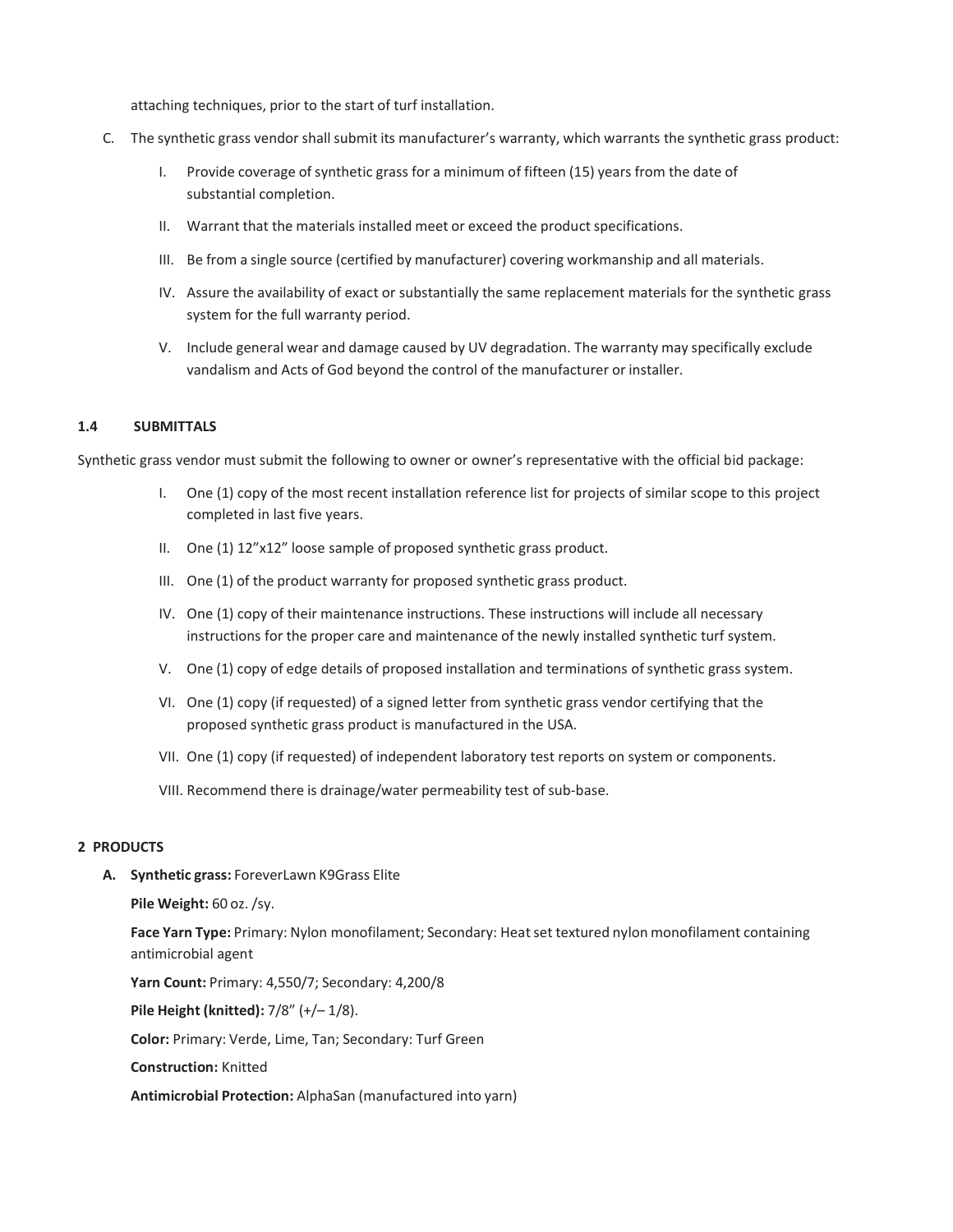attaching techniques, prior to the start of turf installation.

- C. The synthetic grass vendor shall submit its manufacturer's warranty, which warrants the synthetic grass product:
	- I. Provide coverage of synthetic grass for a minimum of fifteen (15) years from the date of substantial completion.
	- II. Warrant that the materials installed meet or exceed the product specifications.
	- III. Be from a single source (certified by manufacturer) covering workmanship and all materials.
	- IV. Assure the availability of exact or substantially the same replacement materials for the synthetic grass system for the full warranty period.
	- V. Include general wear and damage caused by UV degradation. The warranty may specifically exclude vandalism and Acts of God beyond the control of the manufacturer or installer.

## **1.4 SUBMITTALS**

Synthetic grass vendor must submit the following to owner or owner's representative with the official bid package:

- I. One (1) copy of the most recent installation reference list for projects of similar scope to this project completed in last five years.
- II. One (1) 12"x12" loose sample of proposed synthetic grass product.
- III. One (1) of the product warranty for proposed synthetic grass product.
- IV. One (1) copy of their maintenance instructions. These instructions will include all necessary instructions for the proper care and maintenance of the newly installed synthetic turf system.
- V. One (1) copy of edge details of proposed installation and terminations of synthetic grass system.
- VI. One (1) copy (if requested) of a signed letter from synthetic grass vendor certifying that the proposed synthetic grass product is manufactured in the USA.
- VII. One (1) copy (if requested) of independent laboratory test reports on system or components.
- VIII. Recommend there is drainage/water permeability test of sub-base.

## **2 PRODUCTS**

**A. Synthetic grass:** ForeverLawn K9Grass Elite

**Pile Weight:** 60 oz. /sy.

**Face Yarn Type:** Primary: Nylon monofilament; Secondary: Heatset textured nylon monofilament containing antimicrobial agent

**Yarn Count:** Primary: 4,550/7; Secondary: 4,200/8

**Pile Height (knitted):** 7/8" (+/– 1/8).

**Color:** Primary: Verde, Lime, Tan; Secondary: Turf Green

**Construction:** Knitted

**Antimicrobial Protection:** AlphaSan (manufactured into yarn)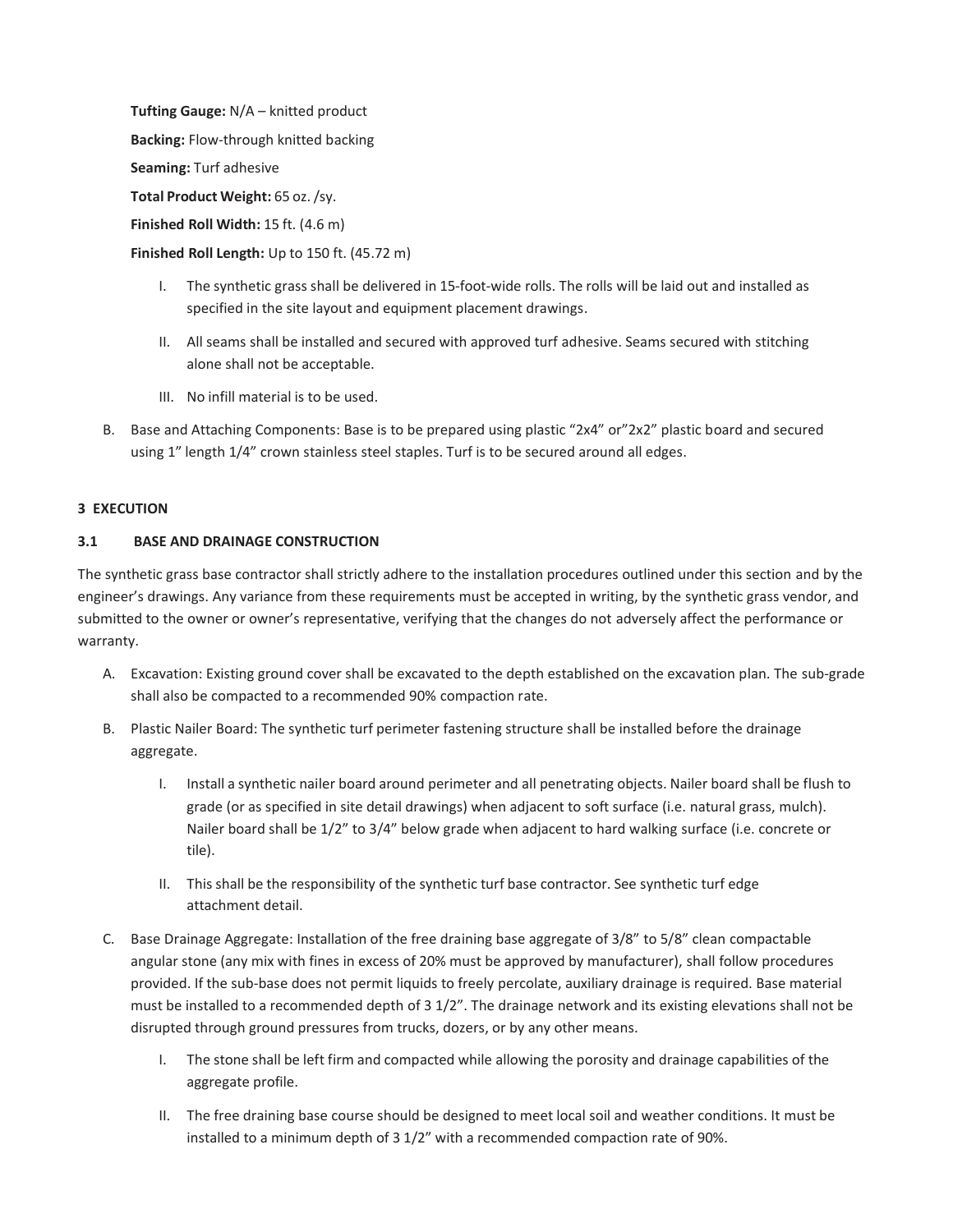**Tufting Gauge:** N/A – knitted product **Backing:** Flow-through knitted backing **Seaming:** Turf adhesive **Total Product Weight:** 65 oz./sy. **Finished Roll Width:** 15 ft. (4.6 m)

**Finished Roll Length:** Up to 150 ft. (45.72 m)

- I. The synthetic grass shall be delivered in 15-foot-wide rolls. The rolls will be laid out and installed as specified in the site layout and equipment placement drawings.
- II. All seams shall be installed and secured with approved turf adhesive. Seams secured with stitching alone shall not be acceptable.
- III. No infill material is to be used.
- B. Base and Attaching Components: Base is to be prepared using plastic "2x4" or"2x2" plastic board and secured using 1" length 1/4" crown stainless steel staples. Turf is to be secured around all edges.

### **3 EXECUTION**

# **3.1 BASE AND DRAINAGE CONSTRUCTION**

The synthetic grass base contractor shall strictly adhere to the installation procedures outlined under this section and by the engineer's drawings. Any variance from these requirements must be accepted in writing, by the synthetic grass vendor, and submitted to the owner or owner's representative, verifying that the changes do not adversely affect the performance or warranty.

- A. Excavation: Existing ground cover shall be excavated to the depth established on the excavation plan. The sub-grade shall also be compacted to a recommended 90% compaction rate.
- B. Plastic Nailer Board: The synthetic turf perimeter fastening structure shall be installed before the drainage aggregate.
	- I. Install a synthetic nailer board around perimeter and all penetrating objects. Nailer board shall be flush to grade (or as specified in site detail drawings) when adjacent to soft surface (i.e. natural grass, mulch). Nailer board shall be 1/2" to 3/4" below grade when adjacent to hard walking surface (i.e. concrete or tile).
	- II. This shall be the responsibility of the synthetic turf base contractor. See synthetic turf edge attachment detail.
- C. Base Drainage Aggregate: Installation of the free draining base aggregate of 3/8" to 5/8" clean compactable angular stone (any mix with fines in excess of 20% must be approved by manufacturer), shall follow procedures provided. If the sub-base does not permit liquids to freely percolate, auxiliary drainage is required. Base material must be installed to a recommended depth of 3 1/2". The drainage network and its existing elevations shall not be disrupted through ground pressures from trucks, dozers, or by any other means.
	- I. The stone shall be left firm and compacted while allowing the porosity and drainage capabilities of the aggregate profile.
	- II. The free draining base course should be designed to meet local soil and weather conditions. It must be installed to a minimum depth of 3 1/2" with a recommended compaction rate of 90%.